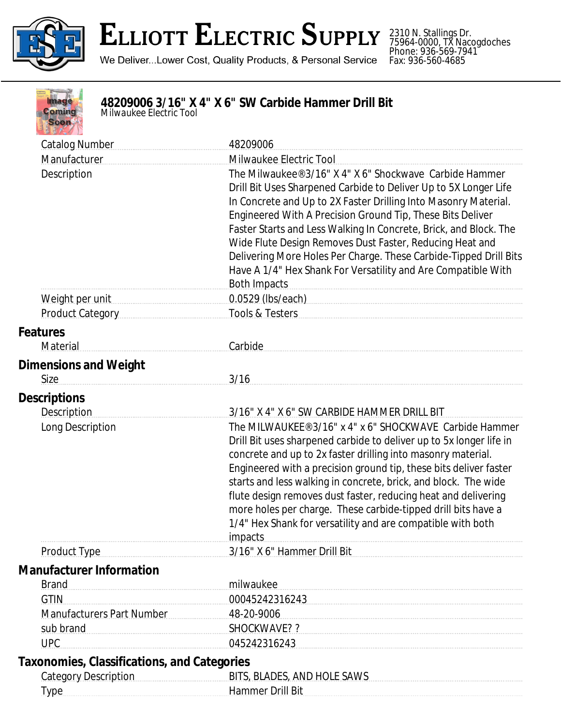

## **ELLIOTT ELECTRIC SUPPLY**

We Deliver...Lower Cost, Quality Products, & Personal Service

2310 N. Stallings Dr. 75964-0000, TX Nacogdoches Phone: 936-569-7941 Fax: 936-560-4685



## **48209006 3/16" X 4" X 6" SW Carbide Hammer Drill Bit**

*Milwaukee Electric Tool*

| <b>Catalog Number</b>                              | 48209006                                                                                                                                                                                                                                                                                                                                                                                                                                                                                                                                                   |
|----------------------------------------------------|------------------------------------------------------------------------------------------------------------------------------------------------------------------------------------------------------------------------------------------------------------------------------------------------------------------------------------------------------------------------------------------------------------------------------------------------------------------------------------------------------------------------------------------------------------|
| Manufacturer                                       | Milwaukee Electric Tool                                                                                                                                                                                                                                                                                                                                                                                                                                                                                                                                    |
| Description                                        | The Milwaukee® 3/16" X 4" X 6" Shockwave Carbide Hammer<br>Drill Bit Uses Sharpened Carbide to Deliver Up to 5X Longer Life<br>In Concrete and Up to 2X Faster Drilling Into Masonry Material.<br>Engineered With A Precision Ground Tip, These Bits Deliver<br>Faster Starts and Less Walking In Concrete, Brick, and Block. The<br>Wide Flute Design Removes Dust Faster, Reducing Heat and<br>Delivering More Holes Per Charge. These Carbide-Tipped Drill Bits<br>Have A 1/4" Hex Shank For Versatility and Are Compatible With<br><b>Both Impacts</b> |
| Weight per unit                                    | 0.0529 (lbs/each) 0.0529 (lbs/each)                                                                                                                                                                                                                                                                                                                                                                                                                                                                                                                        |
| <b>Product Category</b>                            | Tools & Testers                                                                                                                                                                                                                                                                                                                                                                                                                                                                                                                                            |
| <b>Features</b>                                    |                                                                                                                                                                                                                                                                                                                                                                                                                                                                                                                                                            |
| Material                                           | Carbide                                                                                                                                                                                                                                                                                                                                                                                                                                                                                                                                                    |
| <b>Dimensions and Weight</b>                       |                                                                                                                                                                                                                                                                                                                                                                                                                                                                                                                                                            |
| <b>Size</b>                                        | 3/16                                                                                                                                                                                                                                                                                                                                                                                                                                                                                                                                                       |
| <b>Descriptions</b>                                |                                                                                                                                                                                                                                                                                                                                                                                                                                                                                                                                                            |
| <b>Description</b>                                 | 3/16" X 4" X 6" SW CARBIDE HAMMER DRILL BIT                                                                                                                                                                                                                                                                                                                                                                                                                                                                                                                |
| Long Description                                   | The MILWAUKEE® 3/16" x 4" x 6" SHOCKWAVE Carbide Hammer<br>Drill Bit uses sharpened carbide to deliver up to 5x longer life in<br>concrete and up to 2x faster drilling into masonry material.<br>Engineered with a precision ground tip, these bits deliver faster<br>starts and less walking in concrete, brick, and block. The wide<br>flute design removes dust faster, reducing heat and delivering<br>more holes per charge. These carbide-tipped drill bits have a<br>1/4" Hex Shank for versatility and are compatible with both<br>impacts        |
| <b>Product Type</b>                                | 3/16" X 6" Hammer Drill Bit                                                                                                                                                                                                                                                                                                                                                                                                                                                                                                                                |
| <b>Manufacturer Information</b>                    |                                                                                                                                                                                                                                                                                                                                                                                                                                                                                                                                                            |
| <b>Brand</b>                                       | milwaukee                                                                                                                                                                                                                                                                                                                                                                                                                                                                                                                                                  |
| <b>GTIN</b>                                        | 00045242316243                                                                                                                                                                                                                                                                                                                                                                                                                                                                                                                                             |
| <b>Manufacturers Part Number</b>                   | 48-20-9006                                                                                                                                                                                                                                                                                                                                                                                                                                                                                                                                                 |
| sub brand                                          | SHOCKWAVE? ?                                                                                                                                                                                                                                                                                                                                                                                                                                                                                                                                               |
| <b>UPC</b>                                         | 045242316243                                                                                                                                                                                                                                                                                                                                                                                                                                                                                                                                               |
| <b>Taxonomies, Classifications, and Categories</b> |                                                                                                                                                                                                                                                                                                                                                                                                                                                                                                                                                            |
|                                                    | Category Description Manuscription BITS, BLADES, AND HOLE SAWS                                                                                                                                                                                                                                                                                                                                                                                                                                                                                             |
| Type                                               | Hammer Drill Bit                                                                                                                                                                                                                                                                                                                                                                                                                                                                                                                                           |